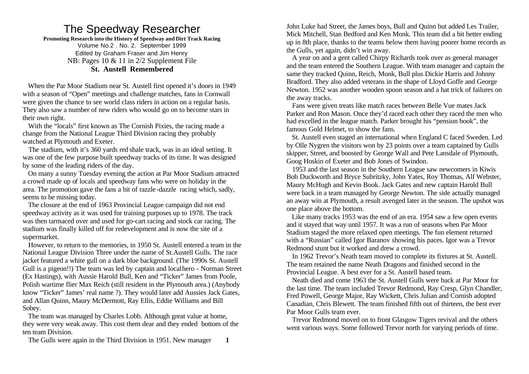# The Speedway Researcher

**Promoting Research into the History of Speedway and Dirt Track Racing** Volume No.2 . No. 2. September 1999 Edited by Graham Fraser and Jim Henry NB: Pages 10 & 11 in 2/2 Supplement File **St. Austell Remembered**

 When the Par Moor Stadium near St. Austell first opened it's doors in 1949 with a season of "Open" meetings and challenge matches, fans in Cornwall were given the chance to see world class riders in action on a regular basis. They also saw a number of new riders who would go on to become stars in their own right.

 With the "locals" first known as The Cornish Pixies, the racing made a change from the National League Third Division racing they probably watched at Plymouth and Exeter.

 The stadium, with it's 360 yards red shale track, was in an ideal setting. It was one of the few purpose built speedway tracks of its time. It was designed by some of the leading riders of the day.

 On many a sunny Tuesday evening the action at Par Moor Stadium attracted a crowd made up of locals and speedway fans who were on holiday in the area. The promotion gave the fans a bit of razzle -dazzle racing which, sadly, seems to be missing today.

 The closure at the end of 1963 Provincial League campaign did not end speedway activity as it was used for training purposes up to 1978. The track was then tarmaced over and used for go-cart racing and stock car racing. The stadium was finally killed off for redevelopment and is now the site of a supermarket.

 However, to return to the memories, in 1950 St. Austell entered a team in the National League Division Three under the name of St.Austell Gulls. The race jacket featured a white gull on a dark blue background. (The 1990s St. Austell Gull is a pigeon!!) The team was led by captain and local hero - Norman Street (Ex Hastings), with Aussie Harold Bull, Ken and "Ticker" James from Poole, Polish wartime flier Max Reich (still resident in the Plymouth area.) (Anybody know "Ticker" James' real name ?). They would later add Aussies Jack Gates, and Allan Quinn, Maury McDermott, Ray Ellis, Eddie Williams and Bill Sobey.

 The team was managed by Charles Lobb. Although great value at home, they were very weak away. This cost them dear and they ended bottom of the ten team Division.

The Gulls were again in the Third Division in 1951. New manager **1**

John Luke had Street, the James boys, Bull and Quinn but added Les Trailer, Mick Mitchell, Stan Bedford and Ken Monk. This team did a bit better ending up in 8th place, thanks to the teams below them having poorer home records as the Gulls, yet again, didn't win away.

 A year on and a gent called Chirpy Richards took over as general manager and the team entered the Southern League. With team manager and captain the same they tracked Quinn, Reich, Monk, Bull plus Dickie Harris and Johnny Bradford. They also added veterans in the shape of Lloyd Goffe and George Newton. 1952 was another wooden spoon season and a hat trick of failures on the away tracks.

 Fans were given treats like match races between Belle Vue mates Jack Parker and Ron Mason. Once they'd raced each other they raced the men who had excelled in the league match. Parker brought his "pension book", the famous Gold Helmet, to show the fans.

 St. Austell even staged an international when England C faced Sweden. Led by Olle Nygren the visitors won by 23 points over a team captained by Gulls skipper, Street, and boosted by George Wall and Pete Lansdale of Plymouth, Goog Hoskin of Exeter and Bob Jones of Swindon.

 1953 and the last season in the Southern League saw newcomers in Kiwis Bob Duckworth and Bryce Subritzky, John Yates, Roy Thomas, Alf Webster, Maury McHugh and Kevin Book. Jack Gates and new captain Harold Bull were back in a team managed by George Newton. The side actually managed an away win at Plymouth, a result avenged later in the season. The upshot was one place above the bottom.

 Like many tracks 1953 was the end of an era. 1954 saw a few open events and it stayed that way until 1957. It was a run of seasons when Par Moor Stadium staged the more relaxed open meetings. The fun element returned with a "Russian" called Igor Baranov showing his paces. Igor was a Trevor Redmond stunt but it worked and drew a crowd.

 In 1962 Trevor's Neath team moved to complete its fixtures at St. Austell. The team retained the name Neath Dragons and finished second in the Provincial League. A best ever for a St. Austell based team.

 Neath died and come 1963 the St. Austell Gulls were back at Par Moor for the last time. The team included Trevor Redmond, Ray Cresp, Glyn Chandler, Fred Powell, George Major, Ray Wickett, Chris Julian and Cornish adopted Canadian, Chris Blewett. The team finished fifth out of thirteen, the best ever Par Moor Gulls team ever.

 Trevor Redmond moved on to front Glasgow Tigers revival and the others went various ways. Some followed Trevor north for varying periods of time.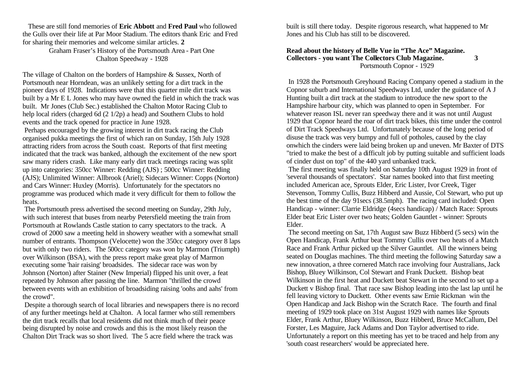These are still fond memories of **Eric Abbott** and **Fred Paul** who followed the Gulls over their life at Par Moor Stadium. The editors thank Eric and Fred for sharing their memories and welcome similar articles. **2**

> Graham Fraser's History of the Portsmouth Area - Part One Chalton Speedway - 1928

The village of Chalton on the borders of Hampshire & Sussex, North of Portsmouth near Horndean, was an unlikely setting for a dirt track in the pioneer days of 1928. Indications were that this quarter mile dirt track was built by a Mr E L Jones who may have owned the field in which the track was built. Mr Jones (Club Sec.) established the Chalton Motor Racing Club to help local riders (charged 6d (2 1/2p) a head) and Southern Clubs to hold events and the track opened for practice in June 1928.

 Perhaps encouraged by the growing interest in dirt track racing the Club organised pukka meetings the first of which ran on Sunday, 15th July 1928 attracting riders from across the South coast. Reports of that first meeting indicated that the track was banked, although the excitement of the new sport saw many riders crash. Like many early dirt track meetings racing was split up into categories: 350cc Winner: Redding (AJS) ; 500cc Winner: Redding (AJS); Unlimited Winner: Allbrook (Ariel); Sidecars Winner: Copps (Norton) and Cars Winner: Huxley (Morris). Unfortunately for the spectators no programme was produced which made it very difficult for them to follow the heats.

 The Portsmouth press advertised the second meeting on Sunday, 29th July, with such interest that buses from nearby Petersfield meeting the train from Portsmouth at Rowlands Castle station to carry spectators to the track. A crowd of 2000 saw a meeting held in showery weather with a somewhat small number of entrants. Thompson (Velocette) won the 350cc category over 8 laps but with only two riders. The 500cc category was won by Marmon (Triumph) over Wilkinson (BSA), with the press report make great play of Marmon executing some 'hair raising' broadsides. The sidecar race was won by Johnson (Norton) after Stainer (New Imperial) flipped his unit over, a feat repeated by Johnson after passing the line. Marmon "thrilled the crowd between events with an exhibition of broadsiding raising 'oohs and aahs' from the crowd".

 Despite a thorough search of local libraries and newspapers there is no record of any further meetings held at Chalton. A local farmer who still remembers the dirt track recalls that local residents did not think much of their peace being disrupted by noise and crowds and this is the most likely reason the Chalton Dirt Track was so short lived. The 5 acre field where the track was

built is still there today. Despite rigorous research, what happened to Mr Jones and his Club has still to be discovered.

#### **Read about the history of Belle Vue in "The Ace" Magazine. Collectors - you want The Collectors Club Magazine. 3** Portsmouth Copnor - 1929

 In 1928 the Portsmouth Greyhound Racing Company opened a stadium in the Copnor suburb and International Speedways Ltd, under the guidance of A J Hunting built a dirt track at the stadium to introduce the new sport to the Hampshire harbour city, which was planned to open in September. For whatever reason ISL never ran speedway there and it was not until August 1929 that Copnor heard the roar of dirt track bikes, this time under the control of Dirt Track Speedways Ltd. Unfortunately because of the long period of disuse the track was very bumpy and full of potholes, caused by the clay onwhich the cinders were laid being broken up and uneven. Mr Baxter of DTS "tried to make the best of a difficult job by putting suitable and sufficient loads of cinder dust on top" of the 440 yard unbanked track.

 The first meeting was finally held on Saturday 10th August 1929 in front of 'several thousands of spectators'. Star names booked into that first meeting included American ace, Sprouts Elder, Eric Lister, Ivor Creek, Tiger Stevenson, Tommy Cullis, Buzz Hibberd and Aussie, Col Stewart, who put up the best time of the day 91secs (38.5mph). The racing card included: Open Handicap - winner: Clarrie Eldridge (4secs handicap) / Match Race: Sprouts Elder beat Eric Lister over two heats; Golden Gauntlet - winner: Sprouts Elder.

 The second meeting on Sat, 17th August saw Buzz Hibberd (5 secs) win the Open Handicap, Frank Arthur beat Tommy Cullis over two heats of a Match Race and Frank Arthur picked up the Silver Gauntlet. All the winners being seated on Douglas machines. The third meeting the following Saturday saw a new innovation, a three cornered Match race involving four Australians, Jack Bishop, Bluey Wilkinson, Col Stewart and Frank Duckett. Bishop beat Wilkinson in the first heat and Duckett beat Stewart in the second to set up a Duckett v Bishop final. That race saw Bishop leading into the last lap until he fell leaving victory to Duckett. Other events saw Ernie Rickman win the Open Handicap and Jack Bishop win the Scratch Race. The fourth and final meeting of 1929 took place on 31st August 1929 with names like Sprouts Elder, Frank Arthur, Bluey Wilkinson, Buzz Hibberd, Bruce McCallum, Del Forster, Les Maguire, Jack Adams and Don Taylor advertised to ride. Unfortunately a report on this meeting has yet to be traced and help from any 'south coast researchers' would be appreciated here.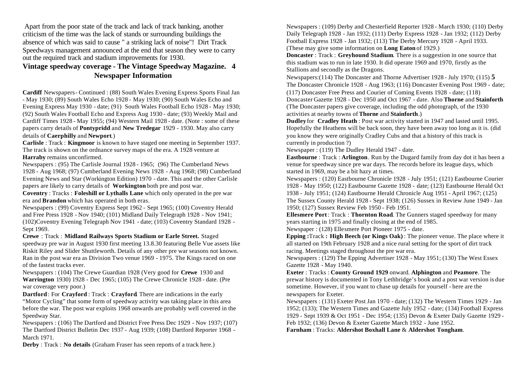Apart from the poor state of the track and lack of track banking, another criticism of the time was the lack of stands or surrounding buildings the absence of which was said to cause " a striking lack of noise"! Dirt Track Speedways management announced at the end that season they were to carry out the required track and stadium improvements for 1930.

## **Vintage speedway coverage - The Vintage Speedway Magazine. 4 Newspaper Information**

**Cardiff** Newspapers- Continued : (88) South Wales Evening Express Sports Final Jan - May 1930; (89) South Wales Echo 1928 - May 1930; (90) South Wales Echo and Evening Express May 1930 - date; (91) South Wales Football Echo 1928 - May 1930; (92) South Wales Football Echo and Express Aug 1930 - date; (93) Weekly Mail and Cardiff Times 1928 - May 1955; (94) Western Mail 1928 - date. (Note : some of these papers carry details of **Pontypridd** and **New Tredegar** 1929 - 1930. May also carry details of **Caerphilly** and **Newport**.)

**Carlisle** : Track : **Kingmoor** is known to have staged one meeting in September 1937. The track is shown on the ordnance survey maps of the era. A 1928 venture at **Harraby** remains unconfirmed.

Newspapers : (95) The Carlisle Journal 1928 - 1965; (96) The Cumberland News 1928 - Aug 1968; (97) Cumberland Evening News 1928 - Aug 1968; (98) Cumberland Evening News and Star (Workington Edition) 1970 - date. This and the other Carlisle papers are likely to carry details of **Workington** both pre and post war.

**Coventry** : Tracks : **Foleshill or Lythalls Lane** which only operated in the pre war era and **Brandon** which has operated in both eras.

Newspapers : (99) Coventry Express Sept 1962 - Sept 1965; (100) Coventry Herald and Free Press 1928 - Nov 1940; (101) Midland Daily Telegraph 1928 - Nov 1941; (102)Coventry Evening Telegraph Nov 1941 - date; (103) Coventry Standard 1928 - Sept 1969.

**Crewe** : Track : **Midland Railways Sports Stadium or Earle Street.** Staged speedway pre war in August 1930 first meeting 13.8.30 featuring Belle Vue assets like Riskit Riley and Slider Shuttleworth. Details of any other pre war seasons not known. Ran in the post war era as Division Two venue 1969 - 1975. The Kings raced on one of the fastest tracks ever.

Newspapers : (104) The Crewe Guardian 1928 (Very good for **Crewe** 1930 and **Warrington** 1930) 1928 - Dec 1965; (105) The Crewe Chronicle 1928 - date. (Pre war coverage very poor.)

**Dartford** : For **Crayford** : Track : **Crayford**. There are indications in the early "Motor Cycling" that some form of speedway activity was taking place in this area before the war. The post war exploits 1968 onwards are probably well covered in the Speedway Star.

Newspapers : (106) The Dartford and District Free Press Dec 1929 - Nov 1937; (107) The Dartford District Bulletin Dec 1937 - Aug 1939; (108) Dartford Reporter 1968 - March 1971.

**Derby** : Track : **No details** (Graham Fraser has seen reports of a track here.)

Newspapers : (109) Derby and Chesterfield Reporter 1928 - March 1930; (110) Derby Daily Telegraph 1928 - Jan 1932; (111) Derby Express 1928 - Jan 1932; (112) Derby Football Express 1928 - Jan 1932; (113) The Derby Mercury 1928 - April 1933. (These may give some information on **Long Eaton** of 1929.)

**Doncaster** : Track : **Greyhound Stadium**. There is a suggestion in one source that this stadium was to run in late 1930. It did operate 1969 and 1970, firstly as the Stallions and secondly as the Dragons.

Newspapers:(114) The Doncaster and Thorne Advertiser 1928 - July 1970; (115) **5**  The Doncaster Chronicle 1928 - Aug 1963; (116) Doncaster Evening Post 1969 - date; (117) Doncaster Free Press and Courier of Coming Events 1928 - date; (118) Doncaster Gazette 1928 - Dec 1950 and Oct 1967 - date. Also **Thorne** and **Stainforth** (The Doncaster papers give coverage, including the odd photograph, of the 1930 activities at nearby towns of **Thorne** and **Stainforth**.)

**Dudley** for **Cradley Heath** : Post war activity started in 1947 and lasted until 1995. Hopefully the Heathens will be back soon, they have been away too long as it is. (did you know they were originally Cradley Cubs and that a history of this track is currently in production ?)

Newspaper : (119) The Dudley Herald 1947 - date.

**Eastbourne** : Track : **Arlington**. Run by the Dugard family from day dot it has been a venue for speedway since pre war days. The records before its league days, which started in 1969, may be a bit hazy at times.

Newspapers : (120) Eastbourne Chronicle 1928 - July 1951; (121) Eastbourne Courier 1928 - May 1950; (122) Eastbourne Gazette 1928 - date; (123) Eastbourne Herald Oct 1938 - July 1951; (124) Eastbourne Herald Chronicle Aug 1951 - April 1967; (125) The Sussex County Herald 1928 - Sept 1938; (126) Sussex in Review June 1949 - Jan 1950; (127) Sussex Review Feb 1950 - Feb 1951.

**Ellesmere Port** : Track : **Thornton Road**. The Gunners staged speedway for many years starting in 1975 and finally closing at the end of 1985.

Newspaper : (128) Ellesmere Port Pioneer 1975 - date.

**Epping :**Track **: High Beech (or Kings Oak)** : The pioneer venue. The place where it all started on 19th February 1928 and a nice rural setting for the sport of dirt track racing. Meetings staged throughout the pre war era.

Newspapers : (129) The Epping Advertiser 1928 - May 1951; (130) The West Essex Gazette 1928 - May 1940.

**Exeter** : Tracks : **County Ground 1929** onward. **Alphington** and **Peamore**. The prewar history is documented in Tony Lethbridge's book and a post war version is due sometime. However, if you want to chase up details for yourself - here are the newspapers for Exeter.

Newspapers : (131) Exeter Post Jan 1970 - date; (132) The Western Times 1929 - Jan 1952; (133); The Western Times and Gazette July 1952 - date; (134) Football Express 1929 - Sept 1939 & Oct 1951 - Dec 1954; (135) Devon & Exeter Daily Gazette 1929 - Feb 1932; (136) Devon & Exeter Gazette March 1932 - June 1952.

**Farnham** : Tracks: **Aldershot Boxhall Lane** & **Aldershot Tongham**.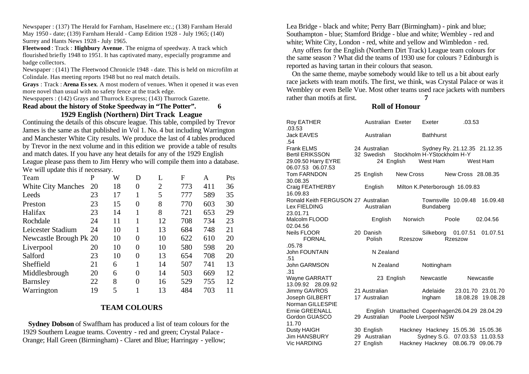Newspaper : (137) The Herald for Farnham, Haselmere etc.; (138) Farnham Herald May 1950 - date; (139) Farnham Herald - Camp Edition 1928 - July 1965; (140) Surrey and Hants News 1928 - July 1965.

**Fleetwood** : Track : **Highbury Avenue**. The enigma of speedway. A track which flourished briefly 1948 to 1951. It has captivated many, especially programme and badge collectors.

Newspaper : (141) The Fleetwood Chronicle 1948 - date. This is held on microfilm at Colindale. Has meeting reports 1948 but no real match details.

**Grays** : Track : **Arena Es sex**. A most modern of venues. When it opened it was even more novel than usual with no safety fence at the track edge.

Newspapers : (142) Grays and Thurrock Express; (143) Thurrock Gazette.

### **Read about the history of Stoke Speedway in "The Potter". 6 1929 English (Northern) Dirt Track League**

Continuing the details of this obscure league. This table, compiled by Trevor James is the same as that published in Vol 1. No. 4 but including Warrington and Manchester White City results. We produce the last of 4 tables produced by Trevor in the next volume and in this edition we provide a table of results and match dates. If you have any heat details for any of the 1929 English

League please pass them to Jim Henry who will compile them into a database. We will update this if necessary.

| P                      | W  | D        | L              | F   | A   | Pts |
|------------------------|----|----------|----------------|-----|-----|-----|
| 20                     | 18 | 0        | $\overline{2}$ | 773 | 411 | 36  |
| 23                     | 17 | 1        | 5              | 777 | 589 | 35  |
| 23                     | 15 | $\theta$ | 8              | 770 | 603 | 30  |
| 23                     | 14 | 1        | 8              | 721 | 653 | 29  |
| 24                     | 11 | 1        | 12             | 708 | 734 | 23  |
| 24                     | 10 | 1        | 13             | 684 | 748 | 21  |
| Newcastle Brough Pk 20 | 10 | 0        | 10             | 622 | 610 | 20  |
| 20                     | 10 | 0        | 10             | 580 | 598 | 20  |
| 23                     | 10 | $\Omega$ | 13             | 654 | 708 | 20  |
| 21                     | 6  |          | 14             | 507 | 741 | 13  |
| 20                     | 6  | 0        | 14             | 503 | 669 | 12  |
| 22                     | 8  | $\theta$ | 16             | 529 | 755 | 12  |
| 19                     | 5  |          | 13             | 484 | 703 | 11  |
|                        |    |          |                |     |     |     |

## **TEAM COLOURS**

 **Sydney Dobson** of Swaffham has produced a list of team colours for the 1929 Southern League teams. Coventry - red and green; Crystal Palace - Orange; Hall Green (Birmingham) - Claret and Blue; Harringay - yellow;

Lea Bridge - black and white; Perry Barr (Birmingham) - pink and blue; Southampton - blue; Stamford Bridge - blue and white; Wembley - red and white; White City, London - red, white and yellow and Wimbledon - red.

 Any offers for the English (Northern Dirt Track) League team colours for the same season ? What did the teams of 1930 use for colours ? Edinburgh is reported as having tartan in their colours that season.

 On the same theme, maybe somebody would like to tell us a bit about early race jackets with team motifs. The first, we think, was Crystal Palace or was it Wembley or even Belle Vue. Most other teams used race jackets with numbers rather than motifs at first. **7**

## **Roll of Honour**

| Roy EATHER                          | Australian Exeter                     |                  | Exeter              | .03.53                          |                                                |
|-------------------------------------|---------------------------------------|------------------|---------------------|---------------------------------|------------------------------------------------|
| .03.53                              |                                       |                  |                     |                                 |                                                |
| <b>Jack EAVES</b>                   | Australian                            |                  | <b>Bathhurst</b>    |                                 |                                                |
| .54                                 |                                       |                  |                     |                                 |                                                |
| <b>Frank ELMS</b>                   | 24 Australian                         |                  |                     |                                 | Sydney Ry. 21.12.35 21.12.35                   |
| <b>Bertil ERIKSSON</b>              | 32 Swedish Stockholm H-YStockholm H-Y |                  |                     |                                 |                                                |
| 29.09.50 Harry EYRE                 | 24 English                            |                  | West Ham            |                                 | West Ham                                       |
| 06.07.53 06.07.53                   |                                       |                  |                     |                                 |                                                |
| Tom FARNDON                         | 25 English                            | <b>New Cross</b> |                     | New Cross 28,08,35              |                                                |
| 30.08.35                            |                                       |                  |                     |                                 |                                                |
| Craig FEATHERBY                     | English                               |                  |                     | Milton K. Peterborough 16.09.83 |                                                |
| 16.09.83                            |                                       |                  |                     |                                 |                                                |
| Ronald Keith FERGUSON 27 Australian |                                       |                  |                     | Townsville 10.09.48             | 16.09.48                                       |
| Lex FIELDING                        | Australian                            |                  | <b>Bundaberg</b>    |                                 |                                                |
| 23.01.71                            |                                       |                  |                     |                                 |                                                |
| Malcolm FLOOD                       | English                               | <b>Norwich</b>   |                     | Poole                           | 02.04.56                                       |
| 02.04.56                            |                                       |                  |                     |                                 |                                                |
| Neils FLOOR                         | 20 Danish                             |                  | Silkeborg           | 01.07.51                        | 01.07.51                                       |
| <b>FORNAL</b>                       | Polish                                | Rzeszow          |                     | <b>Rzeszow</b>                  |                                                |
| .05.78                              |                                       |                  |                     |                                 |                                                |
| <b>John FOUNTAIN</b>                | N Zealand                             |                  |                     |                                 |                                                |
| .51                                 |                                       |                  |                     |                                 |                                                |
| <b>John GARMSON</b>                 | N Zealand                             |                  | Nottingham          |                                 |                                                |
| .31                                 |                                       |                  |                     |                                 |                                                |
| <b>Wayne GARRATT</b>                | 23 English                            |                  | Newcastle           |                                 | Newcastle                                      |
| 13.09.92 28.09.92                   |                                       |                  |                     |                                 |                                                |
| Jimmy GAVROS                        | 21 Australian                         |                  | Adelaide            |                                 | 23.01.70 23.01.70                              |
| Joseph GILBERT                      | 17 Australian                         |                  | Ingham              | 18.08.28                        | 19.08.28                                       |
| Norman GILLESPIE                    |                                       |                  |                     |                                 |                                                |
| <b>Ernie GREENALL</b>               |                                       |                  |                     |                                 | English Unattached Copenhagen26.04.29 28.04.29 |
| Gordon GUASCO                       | 29 Australian                         |                  | Poole Liverpool NSW |                                 |                                                |
| 11.70                               |                                       |                  |                     |                                 |                                                |
| Dusty HAIGH                         | 30 English                            |                  |                     |                                 | Hackney Hackney 15.05.36 15.05.36              |
| <b>Jim HANSBURY</b>                 | 29 Australian                         |                  |                     |                                 | Sydney S.G. 07.03.53 11.03.53                  |
| <b>Vic HARDING</b>                  | 27 English                            |                  |                     | Hackney Hackney 08.06.79        | 09.06.79                                       |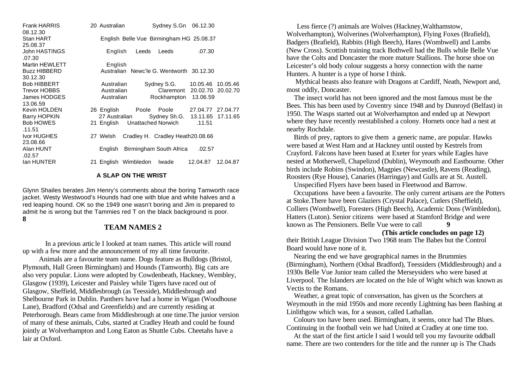Frank HARRIS 20 Australian Sydney S.Gn 06.12.30 08.12.30 Stan HART English Belle Vue Birmingham HG 25.08.37 25.08.37 John HASTINGS English Leeds Leeds .07.30 .07.30 Martin HEWLETT English Buzz HIBBERD Australian Newc'le G. Wentworth 30.12.30 30.12.30 Bob HIBBERT **Australian** Sydney S.G. 10.05.46 10.05.46 Trevor HOBBS Australian Claremont 20.02.70 20.02.70 James HODGES Australian Rockhampton 13.06.59 13.06.59 Kevin HOLDEN 26 English Poole Poole 27.04.77 27.04.77 Barry HOPKIN 27 Australian Sydney Sh.G. 13.11.65 17.11.65 Bob HOWES 21 English Unattached Norwich .11.51 .11.51 Ivor HUGHES 27 Welsh Cradley H. Cradley Heath20.08.66 23.08.66 Alan HUNT English Birmingham South Africa .02.57 .02.57 Ian HUNTER 21 English Wimbledon Iwade 12.04.87 12.04.87

#### **A SLAP ON THE WRIST**

Glynn Shailes berates Jim Henry's comments about the boring Tamworth race jacket. Westy Westwood's Hounds had one with blue and white halves and a red leaping hound. OK so the 1949 one wasn't boring and Jim is prepared to admit he is wrong but the Tammies red T on the black background is poor. **8**

## **TEAM NAMES 2**

In a previous article I looked at team names. This article will round up with a few more and the announcement of my all time favourite.

 Animals are a favourite team name. Dogs feature as Bulldogs (Bristol, Plymouth, Hall Green Birmingham) and Hounds (Tamworth). Big cats are also very popular. Lions were adopted by Cowdenbeath, Hackney, Wembley, Glasgow (1939), Leicester and Paisley while Tigers have raced out of Glasgow, Sheffield, Middlesbrough (as Teesside), Middlesbrough and Shelbourne Park in Dublin. Panthers have had a home in Wigan (Woodhouse Lane), Bradford (Odsal and Greenfields) and are currently residing at Peterborough. Bears came from Middlesbrough at one time.The junior version of many of these animals, Cubs, started at Cradley Heath and could be found jointly at Wolverhampton and Long Eaton as Shuttle Cubs. Cheetahs have a lair at Oxford.

 Less fierce (?) animals are Wolves (Hackney,Walthamstow, Wolverhampton), Wolverines (Wolverhampton), Flying Foxes (Brafield), Badgers (Brafield), Rabbits (High Beech), Hares (Wombwell) and Lambs (New Cross). Scottish training track Bothwell had the Bulls while Belle Vue have the Colts and Doncaster the more mature Stallions. The horse shoe on Leicester's old body colour suggests a horsy connection with the name Hunters. A hunter is a type of horse I think.

 Mythical beasts also feature with Dragons at Cardiff, Neath, Newport and, most oddly, Doncaster.

 The insect world has not been ignored and the most famous must be the Bees. This has been used by Coventry since 1948 and by Dunroyd (Belfast) in 1950. The Wasps started out at Wolverhampton and ended up at Newport where they have recently reestablished a colony. Hornets once had a nest at nearby Rochdale.

 Birds of prey, raptors to give them a generic name, are popular. Hawks were based at West Ham and at Hackney until ousted by Kestrels from Crayford. Falcons have been based at Exeter for years while Eagles have nested at Motherwell, Chapelizod (Dublin), Weymouth and Eastbourne. Other birds include Robins (Swindon), Magpies (Newcastle), Ravens (Reading), Roosters (Rye House), Canaries (Harringay) and Gulls are at St. Austell.

Unspecified Flyers have been based in Fleetwood and Barrow.

 Occupations have been a favourite. The only current artisans are the Potters at Stoke.There have been Glaziers (Crystal Palace), Cutlers (Sheffield), Colliers (Wombwell), Foresters (High Beech), Academic Dons (Wimbledon), Hatters (Luton). Senior citizens were based at Stamford Bridge and were known as The Pensioners. Belle Vue were to call **9**

#### **(This article concludes on page 12)**

their British League Division Two 1968 team The Babes but the Control Board would have none of it.

 Nearing the end we have geographical names in the Brummies (Birmingham), Northern (Odsal Bradford), Teessiders (Middlesbrough) and a 1930s Belle Vue Junior team called the Merseysiders who were based at Liverpool. The Islanders are located on the Isle of Wight which was known as Vectis to the Romans.

 Weather, a great topic of conversation, has given us the Scorchers at Weymouth in the mid 1950s and more recently Lightning has been flashing at Linlithgow which was, for a season, called Lathallan.

 Colours too have been used. Birmingham, it seems, once had The Blues. Continuing in the football vein we had United at Cradley at one time too.

 At the start of the first article I said I would tell you my favourite oddball name. There are two contenders for the title and the runner up is The Chads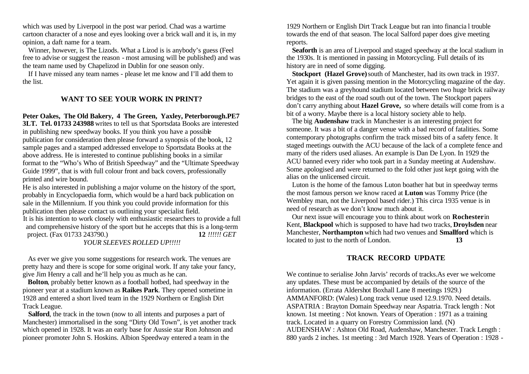which was used by Liverpool in the post war period. Chad was a wartime cartoon character of a nose and eyes looking over a brick wall and it is, in my opinion, a daft name for a team.

 Winner, however, is The Lizods. What a Lizod is is anybody's guess (Feel free to advise or suggest the reason - most amusing will be published) and was the team name used by Chapelizod in Dublin for one season only.

 If I have missed any team names - please let me know and I'll add them to the list.

## **WANT TO SEE YOUR WORK IN PRINT?**

**Peter Oakes, The Old Bakery, 4 The Green, Yaxley, Peterborough.PE7** 

**3LT. Tel. 01733 243988** writes to tell us that Sportsdata Books are interested in publishing new speedway books. If you think you have a possible publication for consideration then please forward a synopsis of the book, 12 sample pages and a stamped addressed envelope to Sportsdata Books at the above address. He is interested to continue publishing books in a similar format to the "Who's Who of British Speedway" and the "Ultimate Speedway Guide 1999", that is with full colour front and back covers, professionally printed and wire bound.

He is also interested in publishing a major volume on the history of the sport, probably in Encyclopaedia form, which would be a hard back publication on sale in the Millennium. If you think you could provide information for this publication then please contact us outlining your specialist field. It is his intention to work closely with enthusiastic researchers to provide a full and comprehensive history of the sport but he accepts that this is a long-term project. (Fax 01733 243790.) **12** *!!!!!! GET* 

*YOUR SLEEVES ROLLED UP!!!!!*

 As ever we give you some suggestions for research work. The venues are pretty hazy and there is scope for some original work. If any take your fancy, give Jim Henry a call and he'll help you as much as he can.

 **Bolton**, probably better known as a football hotbed, had speedway in the pioneer year at a stadium known as **Raikes Park**. They opened sometime in 1928 and entered a short lived team in the 1929 Northern or English Dirt Track League.

 **Salford**, the track in the town (now to all intents and purposes a part of Manchester) immortalised in the song "Dirty Old Town", is yet another track which opened in 1928. It was an early base for Aussie star Ron Johnson and pioneer promoter John S. Hoskins. Albion Speedway entered a team in the

1929 Northern or English Dirt Track League but ran into financia l trouble towards the end of that season. The local Salford paper does give meeting reports.

 **Seaforth** is an area of Liverpool and staged speedway at the local stadium in the 1930s. It is mentioned in passing in Motorcycling. Full details of its history are in need of some digging.

 **Stockport (Hazel Grove)** south of Manchester, had its own track in 1937. Yet again it is given passing mention in the Motorcycling magazine of the day. The stadium was a greyhound stadium located between two huge brick railway bridges to the east of the road south out of the town. The Stockport papers don't carry anything about **Hazel Grove,** so where details will come from is a bit of a worry. Maybe there is a local history society able to help.

 The big **Audenshaw** track in Manchester is an interesting project for someone. It was a bit of a danger venue with a bad record of fatalities. Some contemporary photographs confirm the track missed bits of a safety fence. It staged meetings outwith the ACU because of the lack of a complete fence and many of the riders used aliases. An example is Dan De Lyon. In 1929 the ACU banned every rider who took part in a Sunday meeting at Audenshaw. Some apologised and were returned to the fold other just kept going with the alias on the unlicensed circuit.

 Luton is the home of the famous Luton boather hat but in speedway terms the most famous person we know raced at **Luton** was Tommy Price (the Wembley man, not the Liverpool based rider.) This circa 1935 venue is in need of research as we don't know much about it.

 Our next issue will encourage you to think about work on **Rochester** in Kent, **Blackpool** which is supposed to have had two tracks, **Droylsden** near Manchester, **Northampton** which had two venues and **Smallford** which is located to just to the north of London. **13**

# **TRACK RECORD UPDATE**

We continue to serialise John Jarvis' records of tracks.As ever we welcome any updates. These must be accompanied by details of the source of the information. (Errata Aldershot Boxhall Lane 8 meetings 1929.) AMMANFORD: (Wales) Long track venue used 12.9.1970. Need details. ASPATRIA : Brayton Domain Speedway near Aspatria. Track length : Not known. 1st meeting : Not known. Years of Operation : 1971 as a training track. Located in a quarry on Forestry Commission land. (N) AUDENSHAW : Ashton Old Road, Audenshaw, Manchester. Track Length : 880 yards 2 inches. 1st meeting : 3rd March 1928. Years of Operation : 1928 -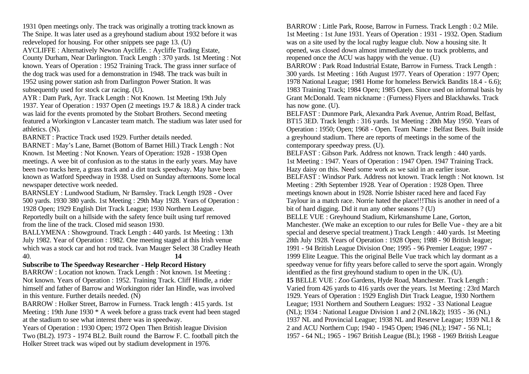1931 0pen meetings only. The track was originally a trotting track known as The Snipe. It was later used as a greyhound stadium about 1932 before it was redeveloped for housing. For other snippets see page 13. (U) AYCLIFFE : Alternatively Newton Aycliffe. : Aycliffe Trading Estate, County Durham, Near Darlington. Track Length : 370 yards. 1st Meeting : Not known. Years of Operation : 1952 Training Track. The grass inner surface of the dog track was used for a demonstration in 1948. The track was built in 1952 using power station ash from Darlington Power Station. It was

subsequently used for stock car racing. (U).

AYR : Dam Park, Ayr. Track Length : Not Known. 1st Meeting 19th July 1937. Year of Operation : 1937 Open (2 meetings 19.7 & 18.8.) A cinder track was laid for the events promoted by the Stobart Brothers. Second meeting featured a Workington v Lancaster team match. The stadium was later used for athletics. (N).

BARNET : Practice Track used 1929. Further details needed.

BARNET : May's Lane, Barnet (Bottom of Barnet Hill.) Track Length : Not Known. 1st Meeting : Not Known. Years of Operation: 1928 - 1938 Open meetings. A wee bit of confusion as to the status in the early years. May have been two tracks here, a grass track and a dirt track speedway. May have been known as Watford Speedway in 1938. Used on Sunday afternoons. Some local newspaper detective work needed.

BARNSLEY : Lundwood Stadium, Nr Barnsley. Track Length 1928 - Over 500 yards. 1930 380 yards. 1st Meeting : 29th May 1928. Years of Operation : 1928 Open; 1929 English Dirt Track League; 1930 Northern League. Reportedly built on a hillside with the safety fence built using turf removed from the line of the track. Closed mid season 1930.

BALLYMENA : Showground. Track Length : 440 yards. 1st Meeting : 13th July 1982. Year of Operation : 1982. One meeting staged at this Irish venue which was a stock car and hot rod track. Ivan Mauger Select 38 Cradley Heath 40. **14**

### **Subscribe to The Speedway Researcher - Help Record History**

BARROW : Location not known. Track Length : Not known. 1st Meeting : Not known. Years of Operation : 1952. Training Track. Cliff Hindle, a rider himself and father of Barrow and Workington rider Ian Hindle, was involved in this venture. Further details needed. (N)

BARROW : Holker Street, Barrow in Furness. Track length : 415 yards. 1st Meeting : 19th June 1930 \* A week before a grass track event had been staged at the stadium to see what interest there was in speedway.

Years of Operation : 1930 Open; 1972 Open Then British league Division Two (BL2). 1973 - 1974 BL2. Built round the Barrow F. C. football pitch the Holker Street track was wiped out by stadium development in 1976.

BARROW : Little Park, Roose, Barrow in Furness. Track Length : 0.2 Mile. 1st Meeting : 1st June 1931. Years of Operation : 1931 - 1932. Open. Stadium was on a site used by the local rugby league club. Now a housing site. It opened, was closed down almost immediately due to track problems, and reopened once the ACU was happy with the venue. (U)

BARROW : Park Road Industrial Estate, Barrow in Furness. Track Length : 300 yards. 1st Meeting : 16th August 1977. Years of Operation : 1977 Open; 1978 National League; 1981 Home for homeless Berwick Bandits 18.4 - 6.6); 1983 Training Track; 1984 Open; 1985 Open. Since used on informal basis by Grant McDonald. Team nickname : (Furness) Flyers and Blackhawks. Track has now gone. (U).

BELFAST : Dunmore Park, Alexandra Park Avenue, Antrim Road, Belfast, BT15 3ED. Track length : 316 yards. 1st Meeting : 20th May 1950. Years of Operation : 1950; Open; 1968 - Open. Team Name : Belfast Bees. Built inside a greyhound stadium. There are reports of meetings in the some of the contemporary speedway press. (U).

BELFAST : Gibson Park. Address not known. Track length : 440 yards. 1st Meeting : 1947. Years of Operation : 1947 Open. 1947 Training Track. Hazy daisy on this. Need some work as we said in an earlier issue. BELFAST : Windsor Park. Address not known. Track length : Not known. 1st Meeting : 29th September 1928. Year of Operation : 1928 Open. Three meetings known about in 1928. Norrie Isbister raced here and faced Fay Taylour in a match race. Norrie hated the place!!!This is another in need of a bit of hard digging. Did it run any other seasons ? (U)

BELLE VUE : Greyhound Stadium, Kirkmanshume Lane, Gorton, Manchester. (We make an exception to our rules for Belle Vue - they are a bit special and deserve special treatment.) Track Length : 440 yards. 1st Meeting 28th July 1928. Years of Operation : 1928 Open; 1988 - 90 British league; 1991 - 94 British League Division One; 1995 - 96 Premier League; 1997 - 1999 Elite League. This the original Belle Vue track which lay dormant as a speedway venue for fifty years before called to serve the sport again. Wrongly

identified as the first greyhound stadium to open in the UK. (U). **15** BELLE VUE : Zoo Gardens, Hyde Road, Manchester. Track Length : Varied from 426 yards to 416 yards over the years. 1st Meeting : 23rd March 1929. Years of Operation : 1929 English Dirt Track League, 1930 Northern League; 1931 Northern and Southern Leagues: 1932 - 33 National League (NL); 1934 : National League Division 1 and 2 (NL1&2); 1935 - 36 (NL) 1937 NL and Provincial League; 1938 NL and Reserve League; 1939 NL1 & 2 and ACU Northern Cup; 1940 - 1945 Open; 1946 (NL); 1947 - 56 NL1; 1957 - 64 NL; 1965 - 1967 British League (BL); 1968 - 1969 British League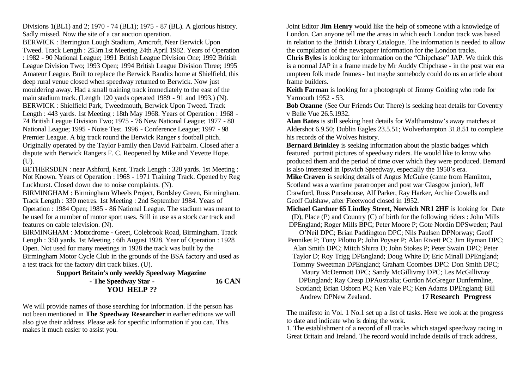Divisions 1(BL1) and 2; 1970 - 74 (BL1); 1975 - 87 (BL). A glorious history. Sadly missed. Now the site of a car auction operation.

BERWICK : Berrington Lough Stadium, Arncroft, Near Berwick Upon Tweed. Track Length : 253m.1st Meeting 24th April 1982. Years of Operation : 1982 - 90 National League; 1991 British League Division One; 1992 British League Division Two; 1993 Open; 1994 British League Division Three; 1995 Amateur League. Built to replace the Berwick Bandits home at Shielfield, this deep rural venue closed when speedway returned to Berwick. Now just mouldering away. Had a small training track immediately to the east of the main stadium track. (Length 120 yards operated 1989 - 91 and 1993.) (N). BERWICK : Shielfield Park, Tweedmouth, Berwick Upon Tweed. Track Length : 443 yards. 1st Meeting : 18th May 1968. Years of Operation : 1968 - 74 British League Division Two; 1975 - 76 New National League; 1977 - 80 National League; 1995 - Noise Test. 1996 - Conference League; 1997 - 98 Premier League. A big track round the Berwick Ranger s football pitch. Originally operated by the Taylor Family then David Fairbairn. Closed after a dispute with Berwick Rangers F. C. Reopened by Mike and Yevette Hope. (U).

BETHERSDEN : near Ashford, Kent. Track Length : 320 yards. 1st Meeting : Not Known. Years of Operation : 1968 - 1971 Training Track. Opened by Reg Luckhurst. Closed down due to noise complaints. (N).

BIRMINGHAM : Birmingham Wheels Project, Bordsley Green, Birmingham. Track Length : 330 metres. 1st Meeting : 2nd September 1984. Years of Operation : 1984 Open; 1985 - 86 National League. The stadium was meant to be used for a number of motor sport uses. Still in use as a stock car track and features on cable television. (N).

BIRMINGHAM : Motordrome - Greet, Colebrook Road, Birmingham. Track Length : 350 yards. 1st Meeting : 6th August 1928. Year of Operation : 1928 Open. Not used for many meetings in 1928 the track was built by the Birmingham Motor Cycle Club in the grounds of the BSA factory and used as

a test track for the factory dirt track bikes. (U).

### **Support Britain's only weekly Speedway Magazine - The Speedway Star - 16 CAN YOU HELP ??**

We will provide names of those searching for information. If the person has not been mentioned in **The Speedway Researcher** in earlier editions we will also give their address. Please ask for specific information if you can. This makes it much easier to assist you.

Joint Editor **Jim Henry** would like the help of someone with a knowledge of London. Can anyone tell me the areas in which each London track was based in relation to the British Library Catalogue. The information is needed to allow the compilation of the newspaper information for the London tracks.

**Chris Byles** is looking for information on the "Chipchase" JAP. We think this is a normal JAP in a frame made by Mr Auddy Chipchase - in the post war era umpteen folk made frames - but maybe somebody could do us an article about frame builders.

**Keith Farman** is looking for a photograph of Jimmy Golding who rode for Yarmouth 1952 - 53.

**Bob Ozanne** (See Our Friends Out There) is seeking heat details for Coventry v Belle Vue 26.5.1932.

**Alan Bates** is still seeking heat details for Walthamstow's away matches at Aldershot 6.9.50; Dublin Eagles 23.5.51; Wolverhampton 31.8.51 to complete his records of the Wolves history.

**Bernard Brinkley** is seeking information about the plastic badges which featured portrait pictures of speedway riders. He would like to know who produced them and the period of time over which they were produced. Bernard is also interested in Ipswich Speedway, especially the 1950's era.

**Mike Craven** is seeking details of Angus McGuire (came from Hamilton, Scotland was a wartime paratrooper and post war Glasgow junior), Jeff Crawford, Russ Pursehouse, Alf Parker, Ray Harker, Archie Cowells and Geoff Culshaw, after Fleetwood closed in 1952.

**Michael Gardner 65 Lindley Street, Norwich NR1 2HF** is looking for Date (D), Place (P) and Country (C) of birth for the following riders : John Mills DPEngland; Roger Mills BPC; Peter Moore P; Gote Nordin DPSweden; Paul

O'Neil DPC; Brian Paddington DPC; Nils Paulsen DPNorway; Geoff Penniket P; Tony Pilotto P; John Poyser P; Alan Rivett PC; Jim Ryman DPC; Alan Smith DPC; Mitch Shirra D; John Stokes P; Peter Swain DPC; Peter Taylor D; Roy Trigg DPEngland; Doug White D; Eric Minall DPEngland; Tommy Sweetman DPEngland; Graham Coombes DPC: Don Smith DPC;

Maury McDermott DPC; Sandy McGillivray DPC; Les McGillivray DPEngland; Ray Cresp DPAustralia; Gordon McGregor Dunfermline, Scotland; Brian Osborn PC; Ken Vale PC; Ken Adams DPEngland; Bill Andrew DPNew Zealand. **17 Research Progress**

The maifesto in Vol. 1 No.1 set up a list of tasks. Here we look at the progress to date and indicate who is doing the work.

1. The establishment of a record of all tracks which staged speedway racing in Great Britain and Ireland. The record would include details of track address,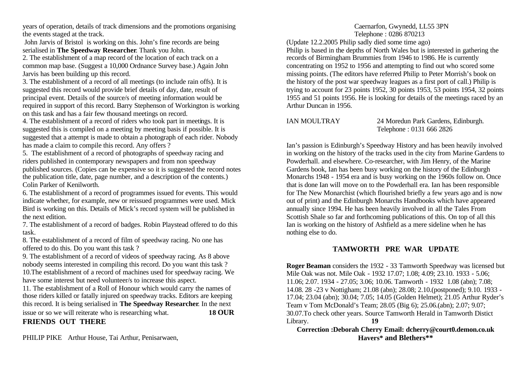years of operation, details of track dimensions and the promotions organising the events staged at the track.

 John Jarvis of Bristol is working on this. John's fine records are being serialised in **The Speedway Researcher**. Thank you John.

2. The establishment of a map record of the location of each track on a common map base. (Suggest a 10,000 Ordnance Survey base.) Again John Jarvis has been building up this record.

3. The establishment of a record of all meetings (to include rain offs). It is suggested this record would provide brief details of day, date, result of principal event. Details of the source/s of meeting information would be required in support of this record. Barry Stephenson of Workington is working on this task and has a fair few thousand meetings on record.

4. The establishment of a record of riders who took part in meetings. It is suggested this is compiled on a meeting by meeting basis if possible. It is suggested that a attempt is made to obtain a photograph of each rider. Nobody has made a claim to compile this record. Any offers ?

5. The establishment of a record of photographs of speedway racing and riders published in contemporary newspapers and from non speedway published sources. (Copies can be expensive so it is suggested the record notes the publication title, date, page number, and a description of the contents.) Colin Parker of Kenilworth.

6. The establishment of a record of programmes issued for events. This would indicate whether, for example, new or reissued programmes were used. Mick Bird is working on this. Details of Mick's record system will be published in the next edition.

7. The establishment of a record of badges. Robin Playstead offered to do this task.

8. The establishment of a record of film of speedway racing. No one has offered to do this. Do you want this task ?

9. The establishment of a record of videos of speedway racing. As 8 above nobody seems interested in compiling this record. Do you want this task ? 10.The establishment of a record of machines used for speedway racing. We have some interest but need volunteer/s to increase this aspect.

11. The establishment of a Roll of Honour which would carry the names of those riders killed or fatally injured on speedway tracks. Editors are keeping this record. It is being serialised in **The Speedway Researcher**. In the next issue or so we will reiterate who is researching what. **18 OUR** 

**FRIENDS OUT THERE**

PHILIP PIKE Arthur House, Tai Arthur, Penisarwaen,

Caernarfon, Gwynedd, LL55 3PN Telephone : 0286 870213

(Update 12.2.2005 Philip sadly died some time ago) Philip is based in the depths of North Wales but is interested in gathering the records of Birmingham Brummies from 1946 to 1986. He is currently concentrating on 1952 to 1956 and attempting to find out who scored some missing points. (The editors have referred Philip to Peter Morrish's book on the history of the post war speedway leagues as a first port of call.) Philip is trying to account for 23 points 1952, 30 points 1953, 53 points 1954, 32 points 1955 and 51 points 1956. He is looking for details of the meetings raced by an Arthur Duncan in 1956.

IAN MOULTRAY 24 Moredun Park Gardens, Edinburgh. Telephone : 0131 666 2826

Ian's passion is Edinburgh's Speedway History and has been heavily involved in working on the history of the tracks used in the city from Marine Gardens to Powderhall. and elsewhere. Co-researcher, with Jim Henry, of the Marine Gardens book, Ian has been busy working on the history of the Edinburgh Monarchs 1948 - 1954 era and is busy working on the 1960s follow on. Once that is done Ian will move on to the Powderhall era. Ian has been responsible for The New Monarchist (which flourished briefly a few years ago and is now out of print) and the Edinburgh Monarchs Handbooks which have appeared annually since 1994. He has been heavily involved in all the Tales From Scottish Shale so far and forthcoming publications of this. On top of all this Ian is working on the history of Ashfield as a mere sideline when he has nothing else to do.

# **TAMWORTH PRE WAR UPDATE**

**Roger Beaman** considers the 1932 - 33 Tamworth Speedway was licensed but Mile Oak was not. Mile Oak - 1932 17.07; 1.08; 4.09; 23.10. 1933 - 5.06; 11.06; 2.07. 1934 - 27.05; 3.06; 10.06. Tamworth - 1932 1.08 (abn); 7.08; 14.08. 28 -23 v Nottigham; 21.08 (abn); 28.08; 2.10.(postponed); 9.10. 1933 - 17.04; 23.04 (abn); 30.04; 7.05; 14.05 (Golden Helmet); 21.05 Arthur Ryder's Team v Tom McDonald's Team; 28.05 (Big 6); 25.06.(abn); 2.07; 9.07; 30.07.To check other years. Source Tamworth Herald in Tamworth Distict Library. **19** 

**Correction :Deborah Cherry Email: dcherry@court0.demon.co.uk Havers\* and Blethers\*\***